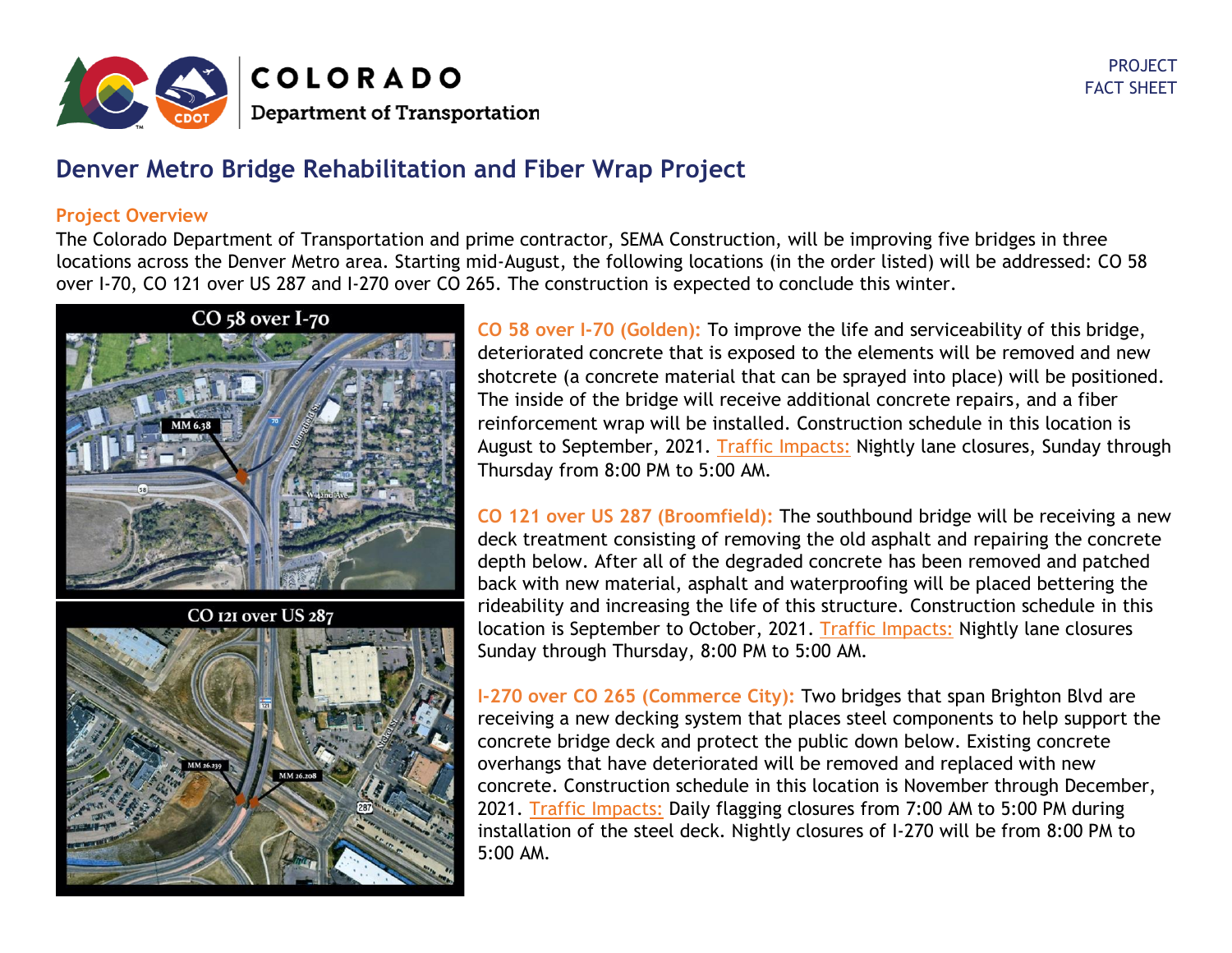

## **Denver Metro Bridge Rehabilitation and Fiber Wrap Project**

## **Project Overview**

The Colorado Department of Transportation and prime contractor, SEMA Construction, will be improving five bridges in three locations across the Denver Metro area. Starting mid-August, the following locations (in the order listed) will be addressed: CO 58 over I-70, CO 121 over US 287 and I-270 over CO 265. The construction is expected to conclude this winter.



**CO 58 over I-70 (Golden):** To improve the life and serviceability of this bridge, deteriorated concrete that is exposed to the elements will be removed and new shotcrete (a concrete material that can be sprayed into place) will be positioned. The inside of the bridge will receive additional concrete repairs, and a fiber reinforcement wrap will be installed. Construction schedule in this location is August to September, 2021. Traffic Impacts: Nightly lane closures, Sunday through Thursday from 8:00 PM to 5:00 AM.

**CO 121 over US 287 (Broomfield):** The southbound bridge will be receiving a new deck treatment consisting of removing the old asphalt and repairing the concrete depth below. After all of the degraded concrete has been removed and patched back with new material, asphalt and waterproofing will be placed bettering the rideability and increasing the life of this structure. Construction schedule in this location is September to October, 2021. Traffic Impacts: Nightly lane closures Sunday through Thursday, 8:00 PM to 5:00 AM.

**I-270 over CO 265 (Commerce City):** Two bridges that span Brighton Blvd are receiving a new decking system that places steel components to help support the concrete bridge deck and protect the public down below. Existing concrete overhangs that have deteriorated will be removed and replaced with new concrete. Construction schedule in this location is November through December, 2021. Traffic Impacts: Daily flagging closures from 7:00 AM to 5:00 PM during installation of the steel deck. Nightly closures of I-270 will be from 8:00 PM to 5:00 AM.